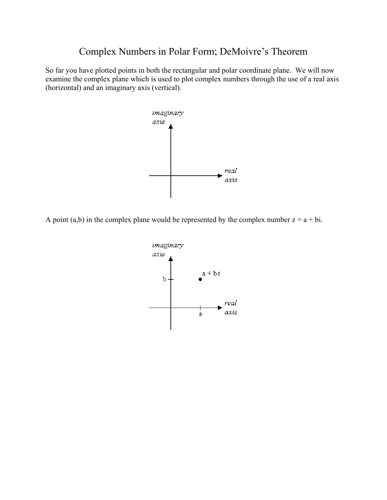## Complex Numbers in Polar Form; DeMoivre's Theorem

So far you have plotted points in both the rectangular and polar coordinate plane. We will now examine the complex plane which is used to plot complex numbers through the use of a real axis (horizontal) and an imaginary axis (vertical).



A point (a,b) in the complex plane would be represented by the complex number  $z = a + bi$ .

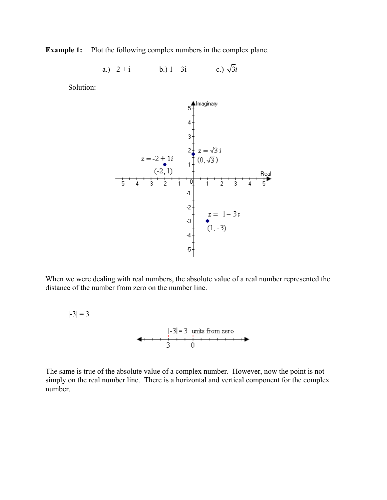**Example 1:** Plot the following complex numbers in the complex plane.

a.) 
$$
-2 + i
$$
 b.)  $1 - 3i$  c.)  $\sqrt{3}i$ 

Solution:

 $|-3| = 3$ 



When we were dealing with real numbers, the absolute value of a real number represented the distance of the number from zero on the number line.

 $\left|\frac{-3|=3}{3}\right|$  units from zero<br> $\left|\frac{-3}{3}\right| = \frac{3}{1}$ 

The same is true of the absolute value of a complex number. However, now the point is not simply on the real number line. There is a horizontal and vertical component for the complex number.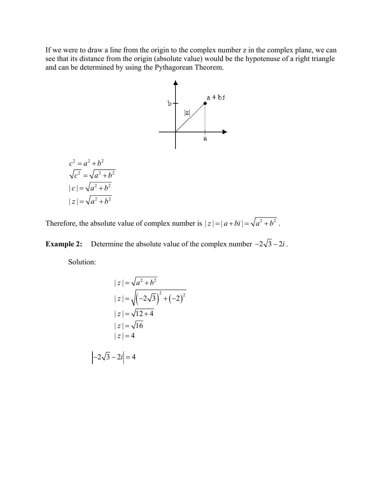If we were to draw a line from the origin to the complex number z in the complex plane, we can see that its distance from the origin (absolute value) would be the hypotenuse of a right triangle and can be determined by using the Pythagorean Theorem.



Therefore, the absolute value of complex number is  $|z| = |a + bi| = \sqrt{a^2 + b^2}$ .

**Example 2:** Determine the absolute value of the complex number  $-2\sqrt{3} - 2i$ .

Solution:

$$
|z| = \sqrt{a^2 + b^2}
$$
  
\n
$$
|z| = \sqrt{(-2\sqrt{3})^2 + (-2)^2}
$$
  
\n
$$
|z| = \sqrt{12 + 4}
$$
  
\n
$$
|z| = \sqrt{16}
$$
  
\n
$$
|z| = 4
$$
  
\n
$$
|-2\sqrt{3} - 2i| = 4
$$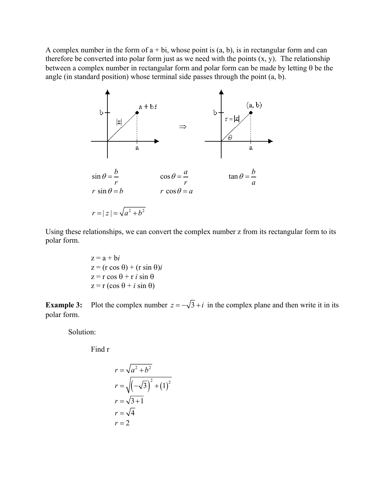A complex number in the form of  $a + bi$ , whose point is  $(a, b)$ , is in rectangular form and can therefore be converted into polar form just as we need with the points  $(x, y)$ . The relationship between a complex number in rectangular form and polar form can be made by letting θ be the angle (in standard position) whose terminal side passes through the point (a, b).



Using these relationships, we can convert the complex number z from its rectangular form to its polar form.

> $z = a + bi$  $z = (r \cos \theta) + (r \sin \theta)i$  $z = r \cos \theta + r i \sin \theta$  $z = r (\cos \theta + i \sin \theta)$

**Example 3:** Plot the complex number  $z = -\sqrt{3} + i$  in the complex plane and then write it in its polar form.

Solution:

Find r

$$
r = \sqrt{a^2 + b^2}
$$
  
\n
$$
r = \sqrt{\left(-\sqrt{3}\right)^2 + \left(1\right)^2}
$$
  
\n
$$
r = \sqrt{3} + 1
$$
  
\n
$$
r = \sqrt{4}
$$
  
\n
$$
r = 2
$$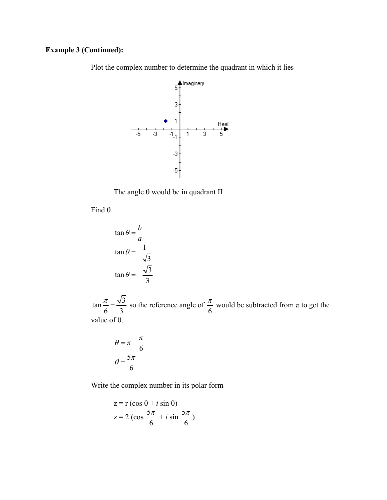## **Example 3 (Continued):**

Plot the complex number to determine the quadrant in which it lies



The angle θ would be in quadrant II

Find θ

$$
\tan \theta = \frac{b}{a}
$$

$$
\tan \theta = \frac{1}{-\sqrt{3}}
$$

$$
\tan \theta = -\frac{\sqrt{3}}{3}
$$

 $\tan \frac{\pi}{2} = \frac{\sqrt{3}}{2}$  $\frac{\pi}{6} = \frac{\sqrt{3}}{3}$  so the reference angle of  $\frac{\pi}{6}$  would be subtracted from  $\pi$  to get the value of θ.

$$
\theta = \pi - \frac{\pi}{6}
$$

$$
\theta = \frac{5\pi}{6}
$$

Write the complex number in its polar form

$$
z = r (\cos \theta + i \sin \theta)
$$
  

$$
z = 2 (\cos \frac{5\pi}{6} + i \sin \frac{5\pi}{6})
$$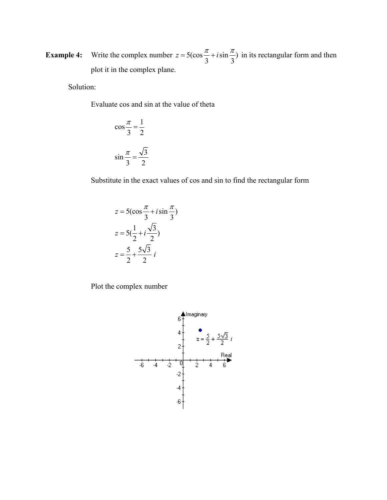**Example 4:** Write the complex number  $z = 5(\cos{\frac{\pi}{3}} + i \sin{\frac{\pi}{3}})$  in its rectangular form and then plot it in the complex plane.

Solution:

Evaluate cos and sin at the value of theta

$$
\cos\frac{\pi}{3} = \frac{1}{2}
$$

$$
\sin\frac{\pi}{3} = \frac{\sqrt{3}}{2}
$$

Substitute in the exact values of cos and sin to find the rectangular form

$$
z = 5\left(\cos\frac{\pi}{3} + i\sin\frac{\pi}{3}\right)
$$

$$
z = 5\left(\frac{1}{2} + i\frac{\sqrt{3}}{2}\right)
$$

$$
z = \frac{5}{2} + \frac{5\sqrt{3}}{2}i
$$

Plot the complex number

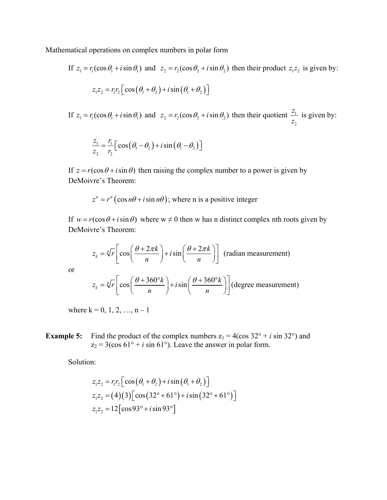Mathematical operations on complex numbers in polar form

If 
$$
z_1 = r_1(\cos \theta_1 + i \sin \theta_1)
$$
 and  $z_2 = r_2(\cos \theta_2 + i \sin \theta_2)$  then their product  $z_1 z_2$  is given by:  

$$
z_1 z_2 = r_1 r_2 \left[ \cos \left( \theta_1 + \theta_2 \right) + i \sin \left( \theta_1 + \theta_2 \right) \right]
$$

If  $z_1 = r_1(\cos\theta_1 + i\sin\theta_1)$  and  $z_2 = r_2(\cos\theta_2 + i\sin\theta_2)$  then their quotient  $\frac{2\pi}{1}$ 2 *z z* is given by:

$$
\frac{z_1}{z_2} = \frac{r_1}{r_2} \Big[ \cos (\theta_1 - \theta_2) + i \sin (\theta_1 - \theta_2) \Big]
$$

If  $z = r(\cos \theta + i \sin \theta)$  then raising the complex number to a power is given by DeMoivre's Theorem:

$$
z^n = r^n (\cos n\theta + i \sin n\theta)
$$
; where n is a positive integer

If  $w = r(\cos \theta + i \sin \theta)$  where  $w \neq 0$  then w has n distinct complex nth roots given by DeMoivre's Theorem:

$$
z_k = \sqrt[n]{r} \left[ \cos \left( \frac{\theta + 2\pi k}{n} \right) + i \sin \left( \frac{\theta + 2\pi k}{n} \right) \right]
$$
 (radian measurement)

or

$$
z_k = \sqrt[n]{r} \left[ \cos \left( \frac{\theta + 360^\circ k}{n} \right) + i \sin \left( \frac{\theta + 360^\circ k}{n} \right) \right] \text{(degree measurement)}
$$

where  $k = 0, 1, 2, ..., n - 1$ 

**Example 5:** Find the product of the complex numbers  $z_1 = 4(\cos 32^\circ + i \sin 32^\circ)$  and  $z_2 = 3(\cos 61^\circ + i \sin 61^\circ)$ . Leave the answer in polar form.

Solution:

$$
z_1 z_2 = r_1 r_2 \left[ \cos (\theta_1 + \theta_2) + i \sin (\theta_1 + \theta_2) \right]
$$
  
\n
$$
z_1 z_2 = (4)(3) \left[ \cos (32^\circ + 61^\circ) + i \sin (32^\circ + 61^\circ) \right]
$$
  
\n
$$
z_1 z_2 = 12 \left[ \cos 93^\circ + i \sin 93^\circ \right]
$$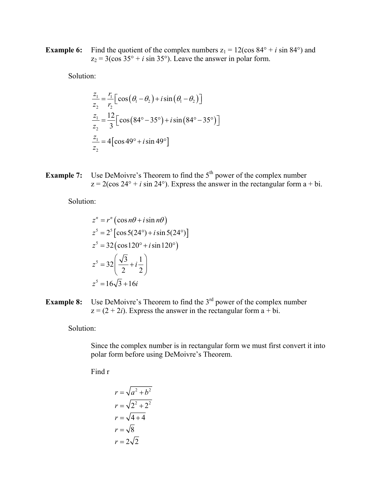**Example 6:** Find the quotient of the complex numbers  $z_1 = 12(\cos 84^\circ + i \sin 84^\circ)$  and  $z_2 = 3(\cos 35^\circ + i \sin 35^\circ)$ . Leave the answer in polar form.

Solution:

$$
\frac{z_1}{z_2} = \frac{r_1}{r_2} \Big[ \cos (\theta_1 - \theta_2) + i \sin (\theta_1 - \theta_2) \Big]
$$
  

$$
\frac{z_1}{z_2} = \frac{12}{3} \Big[ \cos (84^\circ - 35^\circ) + i \sin (84^\circ - 35^\circ) \Big]
$$
  

$$
\frac{z_1}{z_2} = 4 \Big[ \cos 49^\circ + i \sin 49^\circ \Big]
$$

**Example 7:** Use DeMoivre's Theorem to find the 5<sup>th</sup> power of the complex number  $z = 2(\cos 24^\circ + i \sin 24^\circ)$ . Express the answer in the rectangular form a + bi.

Solution:

$$
z^{n} = r^{n} \left(\cos n\theta + i \sin n\theta\right)
$$
  
\n
$$
z^{5} = 2^{5} \left[\cos 5(24^{\circ}) + i \sin 5(24^{\circ})\right]
$$
  
\n
$$
z^{5} = 32 \left(\cos 120^{\circ} + i \sin 120^{\circ}\right)
$$
  
\n
$$
z^{5} = 32 \left(\frac{\sqrt{3}}{2} + i\frac{1}{2}\right)
$$
  
\n
$$
z^{5} = 16\sqrt{3} + 16i
$$

**Example 8:** Use DeMoivre's Theorem to find the 3<sup>rd</sup> power of the complex number  $z = (2 + 2i)$ . Express the answer in the rectangular form  $a + bi$ .

Solution:

Since the complex number is in rectangular form we must first convert it into polar form before using DeMoivre's Theorem.

Find r

$$
r = \sqrt{a^2 + b^2}
$$
  
\n
$$
r = \sqrt{2^2 + 2^2}
$$
  
\n
$$
r = \sqrt{4 + 4}
$$
  
\n
$$
r = \sqrt{8}
$$
  
\n
$$
r = 2\sqrt{2}
$$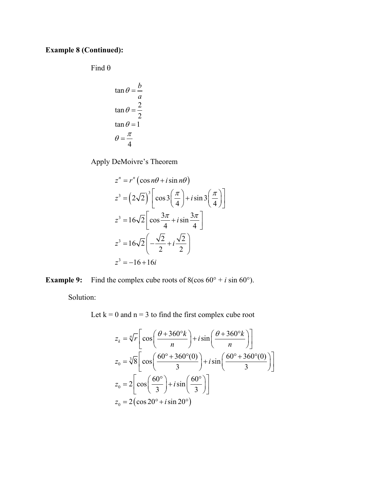## **Example 8 (Continued):**

Find θ

$$
\tan \theta = \frac{b}{a}
$$

$$
\tan \theta = \frac{2}{2}
$$

$$
\tan \theta = 1
$$

$$
\theta = \frac{\pi}{4}
$$

Apply DeMoivre's Theorem

$$
z^{n} = r^{n} \left(\cos n\theta + i \sin n\theta\right)
$$
  
\n
$$
z^{3} = \left(2\sqrt{2}\right)^{3} \left[\cos 3\left(\frac{\pi}{4}\right) + i \sin 3\left(\frac{\pi}{4}\right)\right]
$$
  
\n
$$
z^{3} = 16\sqrt{2} \left[\cos \frac{3\pi}{4} + i \sin \frac{3\pi}{4}\right]
$$
  
\n
$$
z^{3} = 16\sqrt{2} \left(-\frac{\sqrt{2}}{2} + i \frac{\sqrt{2}}{2}\right)
$$
  
\n
$$
z^{3} = -16 + 16i
$$

**Example 9:** Find the complex cube roots of  $8(\cos 60^\circ + i \sin 60^\circ)$ .

Solution:

Let  $k = 0$  and  $n = 3$  to find the first complex cube root

$$
z_k = \sqrt[n]{r} \left[ \cos\left(\frac{\theta + 360^\circ k}{n}\right) + i \sin\left(\frac{\theta + 360^\circ k}{n}\right) \right]
$$
  
\n
$$
z_0 = \sqrt[3]{8} \left[ \cos\left(\frac{60^\circ + 360^\circ (0)}{3}\right) + i \sin\left(\frac{60^\circ + 360^\circ (0)}{3}\right) \right]
$$
  
\n
$$
z_0 = 2 \left[ \cos\left(\frac{60^\circ}{3}\right) + i \sin\left(\frac{60^\circ}{3}\right) \right]
$$
  
\n
$$
z_0 = 2 \left( \cos 20^\circ + i \sin 20^\circ \right)
$$